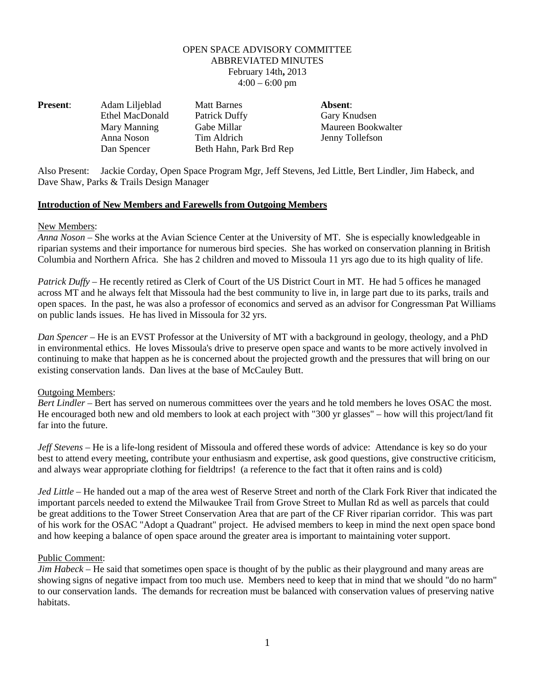# OPEN SPACE ADVISORY COMMITTEE ABBREVIATED MINUTES February 14th**,** 2013  $4:00 - 6:00$  pm

| <b>Present:</b> | Adam Liljeblad  | <b>Matt Barnes</b>      | Absent:            |
|-----------------|-----------------|-------------------------|--------------------|
|                 | Ethel MacDonald | Patrick Duffy           | Gary Knudsen       |
|                 | Mary Manning    | Gabe Millar             | Maureen Bookwalter |
|                 | Anna Noson      | Tim Aldrich             | Jenny Tollefson    |
|                 | Dan Spencer     | Beth Hahn, Park Brd Rep |                    |

Also Present: Jackie Corday, Open Space Program Mgr, Jeff Stevens, Jed Little, Bert Lindler, Jim Habeck, and Dave Shaw, Parks & Trails Design Manager

### **Introduction of New Members and Farewells from Outgoing Members**

### New Members:

*Anna Noson* – She works at the Avian Science Center at the University of MT. She is especially knowledgeable in riparian systems and their importance for numerous bird species. She has worked on conservation planning in British Columbia and Northern Africa. She has 2 children and moved to Missoula 11 yrs ago due to its high quality of life.

*Patrick Duffy* – He recently retired as Clerk of Court of the US District Court in MT. He had 5 offices he managed across MT and he always felt that Missoula had the best community to live in, in large part due to its parks, trails and open spaces. In the past, he was also a professor of economics and served as an advisor for Congressman Pat Williams on public lands issues. He has lived in Missoula for 32 yrs.

*Dan Spencer* – He is an EVST Professor at the University of MT with a background in geology, theology, and a PhD in environmental ethics. He loves Missoula's drive to preserve open space and wants to be more actively involved in continuing to make that happen as he is concerned about the projected growth and the pressures that will bring on our existing conservation lands. Dan lives at the base of McCauley Butt.

# Outgoing Members:

*Bert Lindler* – Bert has served on numerous committees over the years and he told members he loves OSAC the most. He encouraged both new and old members to look at each project with "300 yr glasses" – how will this project/land fit far into the future.

*Jeff Stevens* – He is a life-long resident of Missoula and offered these words of advice: Attendance is key so do your best to attend every meeting, contribute your enthusiasm and expertise, ask good questions, give constructive criticism, and always wear appropriate clothing for fieldtrips! (a reference to the fact that it often rains and is cold)

*Jed Little* – He handed out a map of the area west of Reserve Street and north of the Clark Fork River that indicated the important parcels needed to extend the Milwaukee Trail from Grove Street to Mullan Rd as well as parcels that could be great additions to the Tower Street Conservation Area that are part of the CF River riparian corridor. This was part of his work for the OSAC "Adopt a Quadrant" project. He advised members to keep in mind the next open space bond and how keeping a balance of open space around the greater area is important to maintaining voter support.

#### Public Comment:

*Jim Habeck* – He said that sometimes open space is thought of by the public as their playground and many areas are showing signs of negative impact from too much use. Members need to keep that in mind that we should "do no harm" to our conservation lands. The demands for recreation must be balanced with conservation values of preserving native habitats.